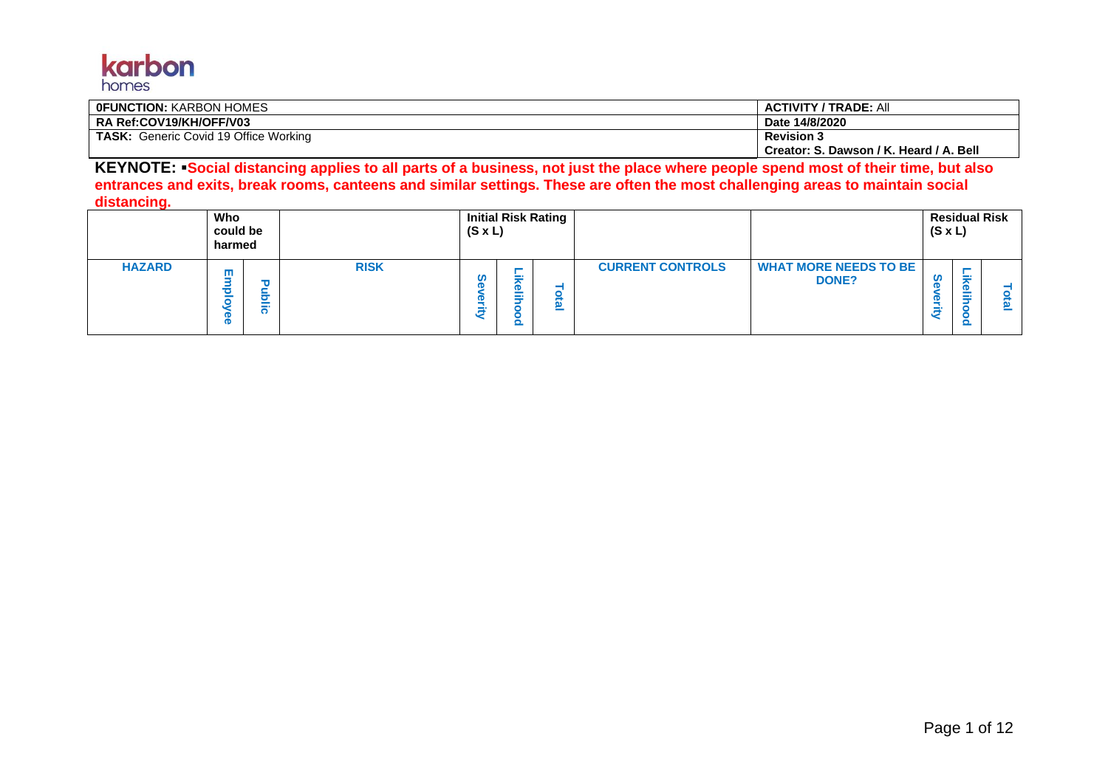

| I OFUNCTION: KARBON HOMES             | <b>ACTIVITY / TRADE: All</b>            |
|---------------------------------------|-----------------------------------------|
| ∣RA Ref:COV19/KH/OFF/V03              | Date 14/8/2020                          |
| TASK: Generic Covid 19 Office Working | <b>Revision 3</b>                       |
|                                       | Creator: S. Dawson / K. Heard / A. Bell |

**KEYNOTE:** ▪**Social distancing applies to all parts of a business, not just the place where people spend most of their time, but also entrances and exits, break rooms, canteens and similar settings. These are often the most challenging areas to maintain social distancing.**

|               | Who<br>could be<br>harmed |                         |             | $(S \times L)$ |                                                 | Initial Risk Rating |                         |                                              | $(S \times L)$          |                  | <b>Residual Risk</b> |
|---------------|---------------------------|-------------------------|-------------|----------------|-------------------------------------------------|---------------------|-------------------------|----------------------------------------------|-------------------------|------------------|----------------------|
| <b>HAZARD</b> | ш                         | τ<br>$\sim$<br>- -<br>ີ | <b>RISK</b> |                | <b>Service</b><br><b>D</b><br>∸<br>$\sim$<br>Q. | g,<br>$\equiv$      | <b>CURRENT CONTROLS</b> | <b>WHAT MORE NEEDS TO BE</b><br><b>DONE?</b> | ഗ<br>-<br><b>C</b><br>c | $\sim$<br>$\sim$ |                      |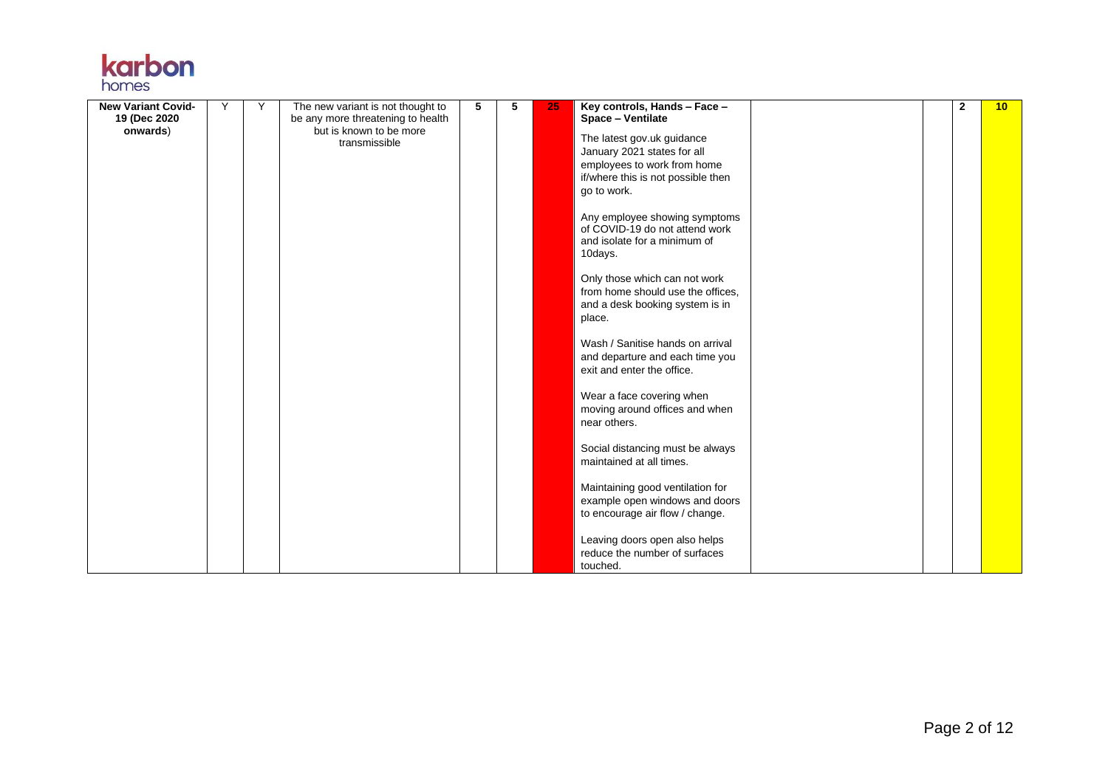| <b>Karpon</b> |  |
|---------------|--|
|               |  |
| homes         |  |

| <b>New Variant Covid-</b> | Υ | Υ | The new variant is not thought to        | 5 | 5 | 25 | Key controls, Hands - Face -                                                                               | $\mathbf{2}$ | 10 |
|---------------------------|---|---|------------------------------------------|---|---|----|------------------------------------------------------------------------------------------------------------|--------------|----|
| 19 (Dec 2020)             |   |   | be any more threatening to health        |   |   |    | Space - Ventilate                                                                                          |              |    |
| onwards)                  |   |   | but is known to be more<br>transmissible |   |   |    | The latest gov.uk guidance                                                                                 |              |    |
|                           |   |   |                                          |   |   |    | January 2021 states for all                                                                                |              |    |
|                           |   |   |                                          |   |   |    | employees to work from home                                                                                |              |    |
|                           |   |   |                                          |   |   |    | if/where this is not possible then                                                                         |              |    |
|                           |   |   |                                          |   |   |    | go to work.                                                                                                |              |    |
|                           |   |   |                                          |   |   |    |                                                                                                            |              |    |
|                           |   |   |                                          |   |   |    | Any employee showing symptoms<br>of COVID-19 do not attend work<br>and isolate for a minimum of<br>10days. |              |    |
|                           |   |   |                                          |   |   |    |                                                                                                            |              |    |
|                           |   |   |                                          |   |   |    | Only those which can not work<br>from home should use the offices.                                         |              |    |
|                           |   |   |                                          |   |   |    | and a desk booking system is in                                                                            |              |    |
|                           |   |   |                                          |   |   |    | place.                                                                                                     |              |    |
|                           |   |   |                                          |   |   |    |                                                                                                            |              |    |
|                           |   |   |                                          |   |   |    | Wash / Sanitise hands on arrival                                                                           |              |    |
|                           |   |   |                                          |   |   |    | and departure and each time you                                                                            |              |    |
|                           |   |   |                                          |   |   |    | exit and enter the office.                                                                                 |              |    |
|                           |   |   |                                          |   |   |    |                                                                                                            |              |    |
|                           |   |   |                                          |   |   |    | Wear a face covering when                                                                                  |              |    |
|                           |   |   |                                          |   |   |    | moving around offices and when                                                                             |              |    |
|                           |   |   |                                          |   |   |    | near others.                                                                                               |              |    |
|                           |   |   |                                          |   |   |    |                                                                                                            |              |    |
|                           |   |   |                                          |   |   |    | Social distancing must be always                                                                           |              |    |
|                           |   |   |                                          |   |   |    | maintained at all times.                                                                                   |              |    |
|                           |   |   |                                          |   |   |    |                                                                                                            |              |    |
|                           |   |   |                                          |   |   |    | Maintaining good ventilation for                                                                           |              |    |
|                           |   |   |                                          |   |   |    | example open windows and doors                                                                             |              |    |
|                           |   |   |                                          |   |   |    | to encourage air flow / change.                                                                            |              |    |
|                           |   |   |                                          |   |   |    |                                                                                                            |              |    |
|                           |   |   |                                          |   |   |    | Leaving doors open also helps                                                                              |              |    |
|                           |   |   |                                          |   |   |    | reduce the number of surfaces                                                                              |              |    |
|                           |   |   |                                          |   |   |    | touched.                                                                                                   |              |    |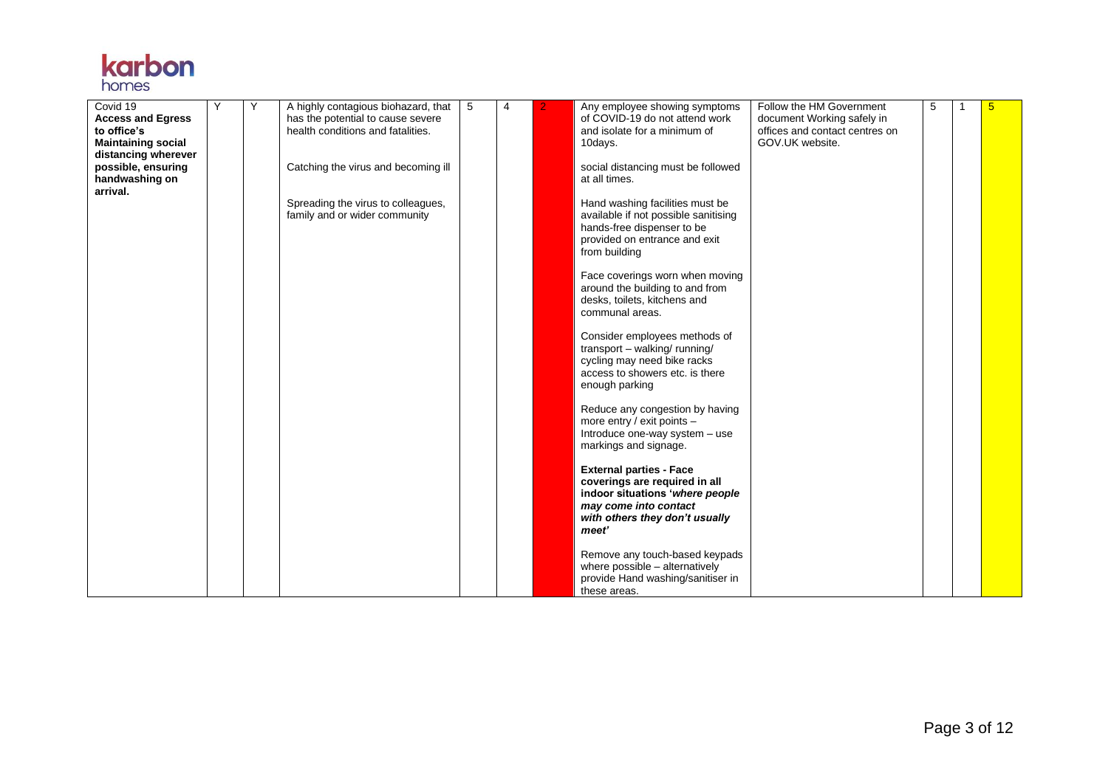

| Covid 19                  | Y | Y |                                                                          | 5 | $\overline{4}$ |   |                                                                 | Follow the HM Government       | 5 | 5 |
|---------------------------|---|---|--------------------------------------------------------------------------|---|----------------|---|-----------------------------------------------------------------|--------------------------------|---|---|
| <b>Access and Egress</b>  |   |   | A highly contagious biohazard, that<br>has the potential to cause severe |   |                | 2 | Any employee showing symptoms<br>of COVID-19 do not attend work | document Working safely in     |   |   |
| to office's               |   |   | health conditions and fatalities.                                        |   |                |   | and isolate for a minimum of                                    | offices and contact centres on |   |   |
| <b>Maintaining social</b> |   |   |                                                                          |   |                |   | 10days.                                                         | GOV.UK website.                |   |   |
| distancing wherever       |   |   |                                                                          |   |                |   |                                                                 |                                |   |   |
| possible, ensuring        |   |   | Catching the virus and becoming ill                                      |   |                |   | social distancing must be followed                              |                                |   |   |
| handwashing on            |   |   |                                                                          |   |                |   | at all times.                                                   |                                |   |   |
| arrival.                  |   |   |                                                                          |   |                |   |                                                                 |                                |   |   |
|                           |   |   | Spreading the virus to colleagues,                                       |   |                |   | Hand washing facilities must be                                 |                                |   |   |
|                           |   |   | family and or wider community                                            |   |                |   | available if not possible sanitising                            |                                |   |   |
|                           |   |   |                                                                          |   |                |   | hands-free dispenser to be                                      |                                |   |   |
|                           |   |   |                                                                          |   |                |   | provided on entrance and exit                                   |                                |   |   |
|                           |   |   |                                                                          |   |                |   | from building                                                   |                                |   |   |
|                           |   |   |                                                                          |   |                |   | Face coverings worn when moving                                 |                                |   |   |
|                           |   |   |                                                                          |   |                |   | around the building to and from                                 |                                |   |   |
|                           |   |   |                                                                          |   |                |   | desks, toilets, kitchens and                                    |                                |   |   |
|                           |   |   |                                                                          |   |                |   | communal areas.                                                 |                                |   |   |
|                           |   |   |                                                                          |   |                |   |                                                                 |                                |   |   |
|                           |   |   |                                                                          |   |                |   | Consider employees methods of                                   |                                |   |   |
|                           |   |   |                                                                          |   |                |   | transport - walking/ running/                                   |                                |   |   |
|                           |   |   |                                                                          |   |                |   | cycling may need bike racks                                     |                                |   |   |
|                           |   |   |                                                                          |   |                |   | access to showers etc. is there                                 |                                |   |   |
|                           |   |   |                                                                          |   |                |   | enough parking                                                  |                                |   |   |
|                           |   |   |                                                                          |   |                |   | Reduce any congestion by having                                 |                                |   |   |
|                           |   |   |                                                                          |   |                |   | more entry / exit points -                                      |                                |   |   |
|                           |   |   |                                                                          |   |                |   | Introduce one-way system - use                                  |                                |   |   |
|                           |   |   |                                                                          |   |                |   | markings and signage.                                           |                                |   |   |
|                           |   |   |                                                                          |   |                |   |                                                                 |                                |   |   |
|                           |   |   |                                                                          |   |                |   | <b>External parties - Face</b>                                  |                                |   |   |
|                           |   |   |                                                                          |   |                |   | coverings are required in all                                   |                                |   |   |
|                           |   |   |                                                                          |   |                |   | indoor situations 'where people                                 |                                |   |   |
|                           |   |   |                                                                          |   |                |   | may come into contact                                           |                                |   |   |
|                           |   |   |                                                                          |   |                |   | with others they don't usually                                  |                                |   |   |
|                           |   |   |                                                                          |   |                |   | meet'                                                           |                                |   |   |
|                           |   |   |                                                                          |   |                |   | Remove any touch-based keypads                                  |                                |   |   |
|                           |   |   |                                                                          |   |                |   | where possible - alternatively                                  |                                |   |   |
|                           |   |   |                                                                          |   |                |   | provide Hand washing/sanitiser in                               |                                |   |   |
|                           |   |   |                                                                          |   |                |   | these areas.                                                    |                                |   |   |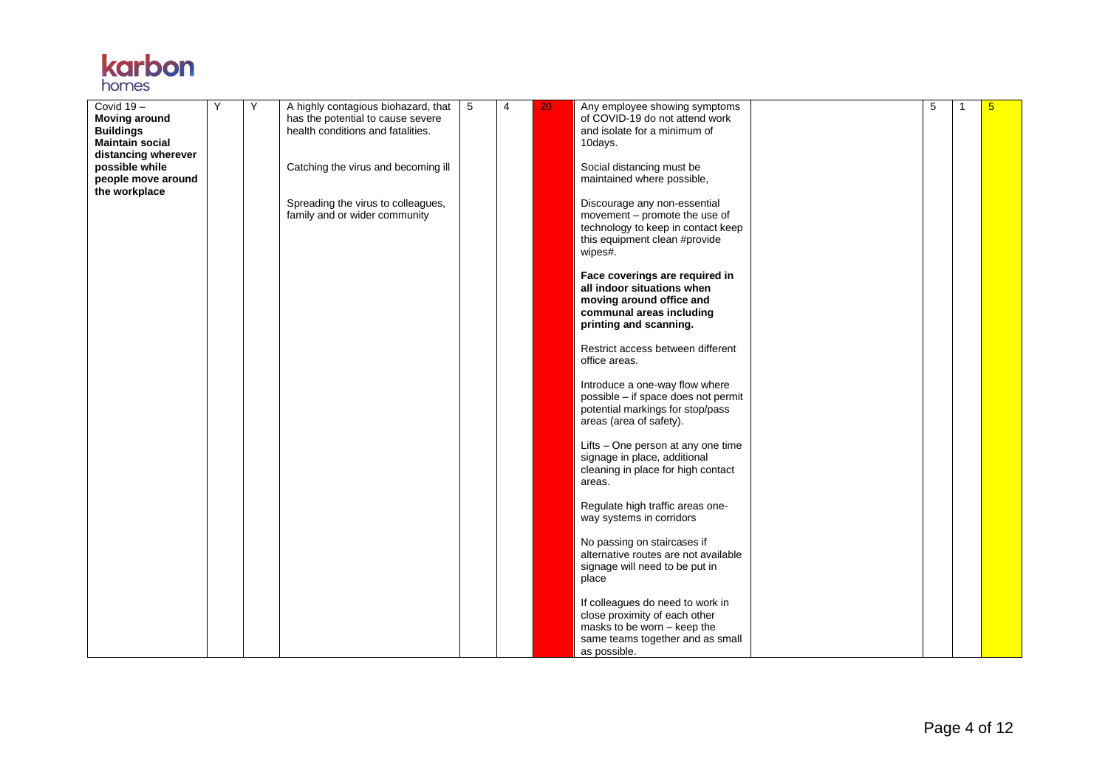## **karbon**

| health conditions and fatalities.<br><b>Buildings</b><br>and isolate for a minimum of<br><b>Maintain social</b><br>10days.<br>distancing wherever<br>Catching the virus and becoming ill<br>possible while<br>Social distancing must be<br>maintained where possible,<br>people move around<br>the workplace<br>Spreading the virus to colleagues,<br>Discourage any non-essential<br>family and or wider community<br>movement - promote the use of<br>technology to keep in contact keep<br>this equipment clean #provide<br>wipes#.<br>Face coverings are required in<br>all indoor situations when<br>moving around office and<br>communal areas including<br>printing and scanning.<br>Restrict access between different<br>office areas.<br>Introduce a one-way flow where<br>possible - if space does not permit<br>potential markings for stop/pass<br>areas (area of safety).<br>Lifts - One person at any one time<br>signage in place, additional<br>cleaning in place for high contact<br>areas.<br>Regulate high traffic areas one-<br>way systems in corridors<br>No passing on staircases if | Covid $19-$          | Υ | Y | A highly contagious biohazard, that   5 | $\overline{4}$ | 20 | Any employee showing symptoms  | 5 | 5 |
|-------------------------------------------------------------------------------------------------------------------------------------------------------------------------------------------------------------------------------------------------------------------------------------------------------------------------------------------------------------------------------------------------------------------------------------------------------------------------------------------------------------------------------------------------------------------------------------------------------------------------------------------------------------------------------------------------------------------------------------------------------------------------------------------------------------------------------------------------------------------------------------------------------------------------------------------------------------------------------------------------------------------------------------------------------------------------------------------------------------|----------------------|---|---|-----------------------------------------|----------------|----|--------------------------------|---|---|
|                                                                                                                                                                                                                                                                                                                                                                                                                                                                                                                                                                                                                                                                                                                                                                                                                                                                                                                                                                                                                                                                                                             | <b>Moving around</b> |   |   | has the potential to cause severe       |                |    | of COVID-19 do not attend work |   |   |
|                                                                                                                                                                                                                                                                                                                                                                                                                                                                                                                                                                                                                                                                                                                                                                                                                                                                                                                                                                                                                                                                                                             |                      |   |   |                                         |                |    |                                |   |   |
|                                                                                                                                                                                                                                                                                                                                                                                                                                                                                                                                                                                                                                                                                                                                                                                                                                                                                                                                                                                                                                                                                                             |                      |   |   |                                         |                |    |                                |   |   |
|                                                                                                                                                                                                                                                                                                                                                                                                                                                                                                                                                                                                                                                                                                                                                                                                                                                                                                                                                                                                                                                                                                             |                      |   |   |                                         |                |    |                                |   |   |
|                                                                                                                                                                                                                                                                                                                                                                                                                                                                                                                                                                                                                                                                                                                                                                                                                                                                                                                                                                                                                                                                                                             |                      |   |   |                                         |                |    |                                |   |   |
|                                                                                                                                                                                                                                                                                                                                                                                                                                                                                                                                                                                                                                                                                                                                                                                                                                                                                                                                                                                                                                                                                                             |                      |   |   |                                         |                |    |                                |   |   |
|                                                                                                                                                                                                                                                                                                                                                                                                                                                                                                                                                                                                                                                                                                                                                                                                                                                                                                                                                                                                                                                                                                             |                      |   |   |                                         |                |    |                                |   |   |
|                                                                                                                                                                                                                                                                                                                                                                                                                                                                                                                                                                                                                                                                                                                                                                                                                                                                                                                                                                                                                                                                                                             |                      |   |   |                                         |                |    |                                |   |   |
|                                                                                                                                                                                                                                                                                                                                                                                                                                                                                                                                                                                                                                                                                                                                                                                                                                                                                                                                                                                                                                                                                                             |                      |   |   |                                         |                |    |                                |   |   |
|                                                                                                                                                                                                                                                                                                                                                                                                                                                                                                                                                                                                                                                                                                                                                                                                                                                                                                                                                                                                                                                                                                             |                      |   |   |                                         |                |    |                                |   |   |
|                                                                                                                                                                                                                                                                                                                                                                                                                                                                                                                                                                                                                                                                                                                                                                                                                                                                                                                                                                                                                                                                                                             |                      |   |   |                                         |                |    |                                |   |   |
|                                                                                                                                                                                                                                                                                                                                                                                                                                                                                                                                                                                                                                                                                                                                                                                                                                                                                                                                                                                                                                                                                                             |                      |   |   |                                         |                |    |                                |   |   |
|                                                                                                                                                                                                                                                                                                                                                                                                                                                                                                                                                                                                                                                                                                                                                                                                                                                                                                                                                                                                                                                                                                             |                      |   |   |                                         |                |    |                                |   |   |
|                                                                                                                                                                                                                                                                                                                                                                                                                                                                                                                                                                                                                                                                                                                                                                                                                                                                                                                                                                                                                                                                                                             |                      |   |   |                                         |                |    |                                |   |   |
|                                                                                                                                                                                                                                                                                                                                                                                                                                                                                                                                                                                                                                                                                                                                                                                                                                                                                                                                                                                                                                                                                                             |                      |   |   |                                         |                |    |                                |   |   |
|                                                                                                                                                                                                                                                                                                                                                                                                                                                                                                                                                                                                                                                                                                                                                                                                                                                                                                                                                                                                                                                                                                             |                      |   |   |                                         |                |    |                                |   |   |
|                                                                                                                                                                                                                                                                                                                                                                                                                                                                                                                                                                                                                                                                                                                                                                                                                                                                                                                                                                                                                                                                                                             |                      |   |   |                                         |                |    |                                |   |   |
|                                                                                                                                                                                                                                                                                                                                                                                                                                                                                                                                                                                                                                                                                                                                                                                                                                                                                                                                                                                                                                                                                                             |                      |   |   |                                         |                |    |                                |   |   |
|                                                                                                                                                                                                                                                                                                                                                                                                                                                                                                                                                                                                                                                                                                                                                                                                                                                                                                                                                                                                                                                                                                             |                      |   |   |                                         |                |    |                                |   |   |
|                                                                                                                                                                                                                                                                                                                                                                                                                                                                                                                                                                                                                                                                                                                                                                                                                                                                                                                                                                                                                                                                                                             |                      |   |   |                                         |                |    |                                |   |   |
|                                                                                                                                                                                                                                                                                                                                                                                                                                                                                                                                                                                                                                                                                                                                                                                                                                                                                                                                                                                                                                                                                                             |                      |   |   |                                         |                |    |                                |   |   |
|                                                                                                                                                                                                                                                                                                                                                                                                                                                                                                                                                                                                                                                                                                                                                                                                                                                                                                                                                                                                                                                                                                             |                      |   |   |                                         |                |    |                                |   |   |
|                                                                                                                                                                                                                                                                                                                                                                                                                                                                                                                                                                                                                                                                                                                                                                                                                                                                                                                                                                                                                                                                                                             |                      |   |   |                                         |                |    |                                |   |   |
|                                                                                                                                                                                                                                                                                                                                                                                                                                                                                                                                                                                                                                                                                                                                                                                                                                                                                                                                                                                                                                                                                                             |                      |   |   |                                         |                |    |                                |   |   |
|                                                                                                                                                                                                                                                                                                                                                                                                                                                                                                                                                                                                                                                                                                                                                                                                                                                                                                                                                                                                                                                                                                             |                      |   |   |                                         |                |    |                                |   |   |
|                                                                                                                                                                                                                                                                                                                                                                                                                                                                                                                                                                                                                                                                                                                                                                                                                                                                                                                                                                                                                                                                                                             |                      |   |   |                                         |                |    |                                |   |   |
|                                                                                                                                                                                                                                                                                                                                                                                                                                                                                                                                                                                                                                                                                                                                                                                                                                                                                                                                                                                                                                                                                                             |                      |   |   |                                         |                |    |                                |   |   |
|                                                                                                                                                                                                                                                                                                                                                                                                                                                                                                                                                                                                                                                                                                                                                                                                                                                                                                                                                                                                                                                                                                             |                      |   |   |                                         |                |    |                                |   |   |
|                                                                                                                                                                                                                                                                                                                                                                                                                                                                                                                                                                                                                                                                                                                                                                                                                                                                                                                                                                                                                                                                                                             |                      |   |   |                                         |                |    |                                |   |   |
|                                                                                                                                                                                                                                                                                                                                                                                                                                                                                                                                                                                                                                                                                                                                                                                                                                                                                                                                                                                                                                                                                                             |                      |   |   |                                         |                |    |                                |   |   |
|                                                                                                                                                                                                                                                                                                                                                                                                                                                                                                                                                                                                                                                                                                                                                                                                                                                                                                                                                                                                                                                                                                             |                      |   |   |                                         |                |    |                                |   |   |
|                                                                                                                                                                                                                                                                                                                                                                                                                                                                                                                                                                                                                                                                                                                                                                                                                                                                                                                                                                                                                                                                                                             |                      |   |   |                                         |                |    |                                |   |   |
|                                                                                                                                                                                                                                                                                                                                                                                                                                                                                                                                                                                                                                                                                                                                                                                                                                                                                                                                                                                                                                                                                                             |                      |   |   |                                         |                |    |                                |   |   |
|                                                                                                                                                                                                                                                                                                                                                                                                                                                                                                                                                                                                                                                                                                                                                                                                                                                                                                                                                                                                                                                                                                             |                      |   |   |                                         |                |    |                                |   |   |
| alternative routes are not available                                                                                                                                                                                                                                                                                                                                                                                                                                                                                                                                                                                                                                                                                                                                                                                                                                                                                                                                                                                                                                                                        |                      |   |   |                                         |                |    |                                |   |   |
| signage will need to be put in                                                                                                                                                                                                                                                                                                                                                                                                                                                                                                                                                                                                                                                                                                                                                                                                                                                                                                                                                                                                                                                                              |                      |   |   |                                         |                |    |                                |   |   |
| place                                                                                                                                                                                                                                                                                                                                                                                                                                                                                                                                                                                                                                                                                                                                                                                                                                                                                                                                                                                                                                                                                                       |                      |   |   |                                         |                |    |                                |   |   |
|                                                                                                                                                                                                                                                                                                                                                                                                                                                                                                                                                                                                                                                                                                                                                                                                                                                                                                                                                                                                                                                                                                             |                      |   |   |                                         |                |    |                                |   |   |
| If colleagues do need to work in                                                                                                                                                                                                                                                                                                                                                                                                                                                                                                                                                                                                                                                                                                                                                                                                                                                                                                                                                                                                                                                                            |                      |   |   |                                         |                |    |                                |   |   |
| close proximity of each other                                                                                                                                                                                                                                                                                                                                                                                                                                                                                                                                                                                                                                                                                                                                                                                                                                                                                                                                                                                                                                                                               |                      |   |   |                                         |                |    |                                |   |   |
| masks to be worn - keep the                                                                                                                                                                                                                                                                                                                                                                                                                                                                                                                                                                                                                                                                                                                                                                                                                                                                                                                                                                                                                                                                                 |                      |   |   |                                         |                |    |                                |   |   |
| same teams together and as small                                                                                                                                                                                                                                                                                                                                                                                                                                                                                                                                                                                                                                                                                                                                                                                                                                                                                                                                                                                                                                                                            |                      |   |   |                                         |                |    |                                |   |   |
|                                                                                                                                                                                                                                                                                                                                                                                                                                                                                                                                                                                                                                                                                                                                                                                                                                                                                                                                                                                                                                                                                                             |                      |   |   |                                         |                |    | as possible.                   |   |   |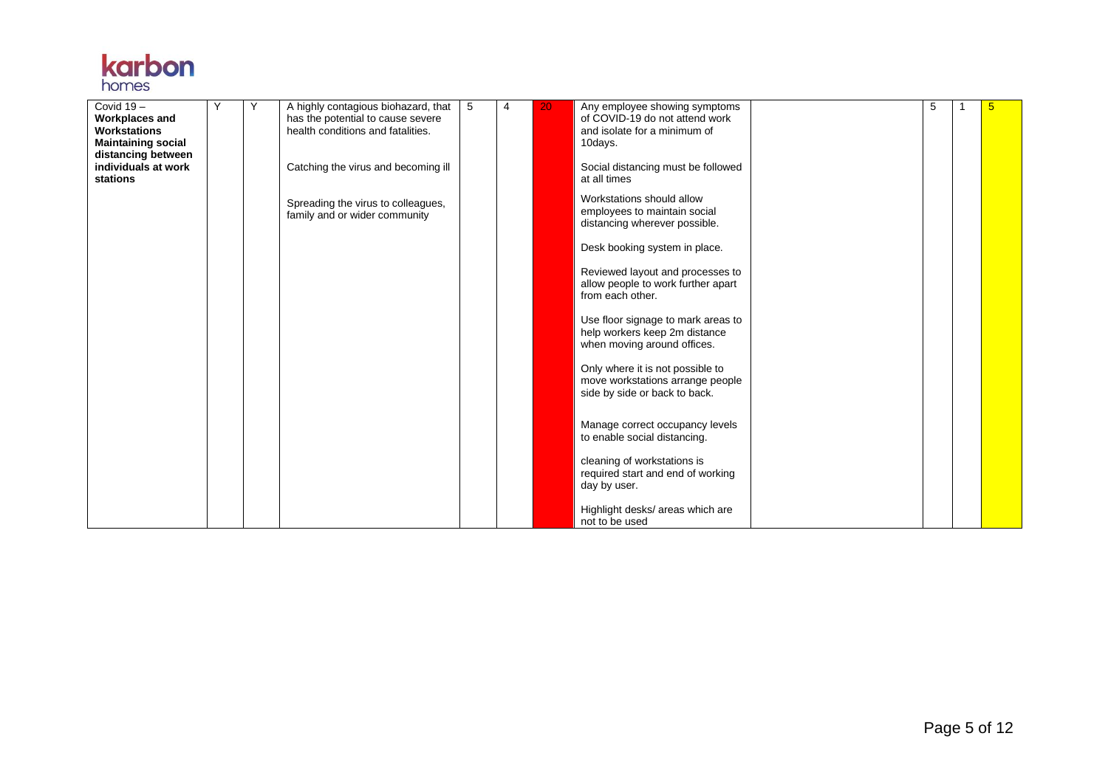

| Covid $19 -$              | Y | Υ | A highly contagious biohazard, that | l 5 | 4 | 20 | Any employee showing symptoms      | 5 | 5 |
|---------------------------|---|---|-------------------------------------|-----|---|----|------------------------------------|---|---|
| <b>Workplaces and</b>     |   |   | has the potential to cause severe   |     |   |    | of COVID-19 do not attend work     |   |   |
| <b>Workstations</b>       |   |   | health conditions and fatalities.   |     |   |    | and isolate for a minimum of       |   |   |
| <b>Maintaining social</b> |   |   |                                     |     |   |    | 10days.                            |   |   |
| distancing between        |   |   |                                     |     |   |    |                                    |   |   |
| individuals at work       |   |   | Catching the virus and becoming ill |     |   |    | Social distancing must be followed |   |   |
| stations                  |   |   |                                     |     |   |    | at all times                       |   |   |
|                           |   |   |                                     |     |   |    |                                    |   |   |
|                           |   |   | Spreading the virus to colleagues,  |     |   |    | Workstations should allow          |   |   |
|                           |   |   | family and or wider community       |     |   |    | employees to maintain social       |   |   |
|                           |   |   |                                     |     |   |    | distancing wherever possible.      |   |   |
|                           |   |   |                                     |     |   |    |                                    |   |   |
|                           |   |   |                                     |     |   |    | Desk booking system in place.      |   |   |
|                           |   |   |                                     |     |   |    |                                    |   |   |
|                           |   |   |                                     |     |   |    | Reviewed layout and processes to   |   |   |
|                           |   |   |                                     |     |   |    | allow people to work further apart |   |   |
|                           |   |   |                                     |     |   |    |                                    |   |   |
|                           |   |   |                                     |     |   |    | from each other.                   |   |   |
|                           |   |   |                                     |     |   |    |                                    |   |   |
|                           |   |   |                                     |     |   |    | Use floor signage to mark areas to |   |   |
|                           |   |   |                                     |     |   |    | help workers keep 2m distance      |   |   |
|                           |   |   |                                     |     |   |    | when moving around offices.        |   |   |
|                           |   |   |                                     |     |   |    |                                    |   |   |
|                           |   |   |                                     |     |   |    | Only where it is not possible to   |   |   |
|                           |   |   |                                     |     |   |    | move workstations arrange people   |   |   |
|                           |   |   |                                     |     |   |    | side by side or back to back.      |   |   |
|                           |   |   |                                     |     |   |    |                                    |   |   |
|                           |   |   |                                     |     |   |    |                                    |   |   |
|                           |   |   |                                     |     |   |    | Manage correct occupancy levels    |   |   |
|                           |   |   |                                     |     |   |    | to enable social distancing.       |   |   |
|                           |   |   |                                     |     |   |    |                                    |   |   |
|                           |   |   |                                     |     |   |    | cleaning of workstations is        |   |   |
|                           |   |   |                                     |     |   |    | required start and end of working  |   |   |
|                           |   |   |                                     |     |   |    | day by user.                       |   |   |
|                           |   |   |                                     |     |   |    |                                    |   |   |
|                           |   |   |                                     |     |   |    | Highlight desks/ areas which are   |   |   |
|                           |   |   |                                     |     |   |    | not to be used                     |   |   |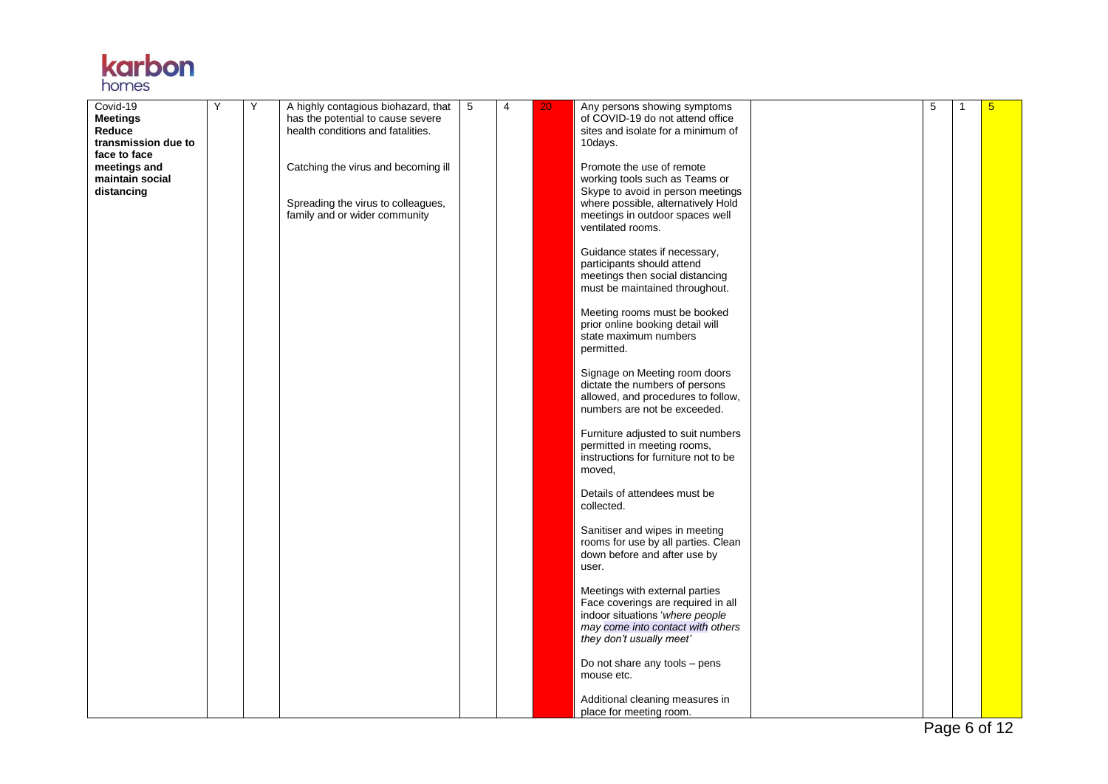## **karbon**

| Covid-19<br>Meetings<br>Reduce                | Y | Y | A highly contagious biohazard, that<br>has the potential to cause severe<br>health conditions and fatalities. | 5 | 4 | 20 | Any persons showing symptoms<br>of COVID-19 do not attend office<br>sites and isolate for a minimum of                                                                                         | 5 | -1 | 5 |
|-----------------------------------------------|---|---|---------------------------------------------------------------------------------------------------------------|---|---|----|------------------------------------------------------------------------------------------------------------------------------------------------------------------------------------------------|---|----|---|
| transmission due to<br>face to face           |   |   |                                                                                                               |   |   |    | 10days.                                                                                                                                                                                        |   |    |   |
| meetings and<br>maintain social<br>distancing |   |   | Catching the virus and becoming ill<br>Spreading the virus to colleagues,<br>family and or wider community    |   |   |    | Promote the use of remote<br>working tools such as Teams or<br>Skype to avoid in person meetings<br>where possible, alternatively Hold<br>meetings in outdoor spaces well<br>ventilated rooms. |   |    |   |
|                                               |   |   |                                                                                                               |   |   |    | Guidance states if necessary,<br>participants should attend<br>meetings then social distancing<br>must be maintained throughout.                                                               |   |    |   |
|                                               |   |   |                                                                                                               |   |   |    | Meeting rooms must be booked<br>prior online booking detail will<br>state maximum numbers<br>permitted.                                                                                        |   |    |   |
|                                               |   |   |                                                                                                               |   |   |    | Signage on Meeting room doors<br>dictate the numbers of persons<br>allowed, and procedures to follow,<br>numbers are not be exceeded.                                                          |   |    |   |
|                                               |   |   |                                                                                                               |   |   |    | Furniture adjusted to suit numbers<br>permitted in meeting rooms,<br>instructions for furniture not to be<br>moved,                                                                            |   |    |   |
|                                               |   |   |                                                                                                               |   |   |    | Details of attendees must be<br>collected.                                                                                                                                                     |   |    |   |
|                                               |   |   |                                                                                                               |   |   |    | Sanitiser and wipes in meeting<br>rooms for use by all parties. Clean<br>down before and after use by<br>user.                                                                                 |   |    |   |
|                                               |   |   |                                                                                                               |   |   |    | Meetings with external parties<br>Face coverings are required in all<br>indoor situations 'where people<br>may come into contact with others<br>they don't usually meet'                       |   |    |   |
|                                               |   |   |                                                                                                               |   |   |    | Do not share any tools - pens<br>mouse etc.                                                                                                                                                    |   |    |   |
|                                               |   |   |                                                                                                               |   |   |    | Additional cleaning measures in<br>place for meeting room.                                                                                                                                     |   |    |   |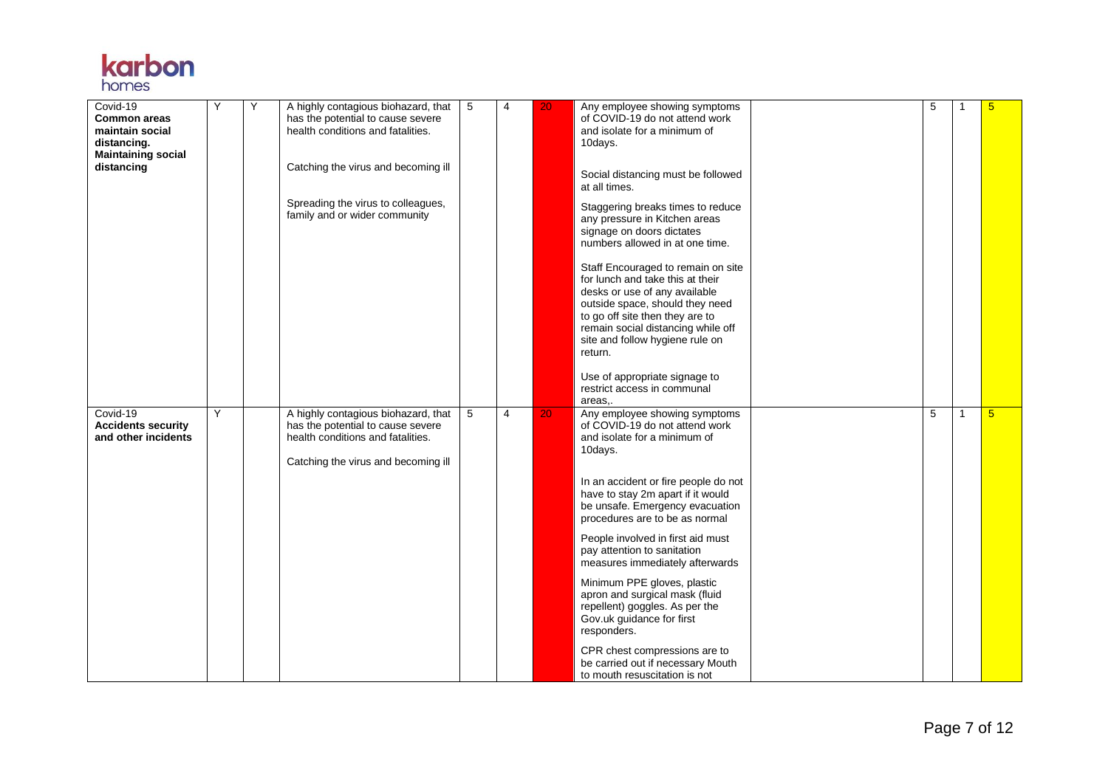

| Covid-19                  | Y | Y | A highly contagious biohazard, that | 5 | 4 | 20 | Any employee showing symptoms        | 5 |   | 5               |
|---------------------------|---|---|-------------------------------------|---|---|----|--------------------------------------|---|---|-----------------|
| <b>Common areas</b>       |   |   | has the potential to cause severe   |   |   |    | of COVID-19 do not attend work       |   |   |                 |
| maintain social           |   |   | health conditions and fatalities.   |   |   |    | and isolate for a minimum of         |   |   |                 |
| distancing.               |   |   |                                     |   |   |    | 10days.                              |   |   |                 |
|                           |   |   |                                     |   |   |    |                                      |   |   |                 |
| <b>Maintaining social</b> |   |   | Catching the virus and becoming ill |   |   |    |                                      |   |   |                 |
| distancing                |   |   |                                     |   |   |    | Social distancing must be followed   |   |   |                 |
|                           |   |   |                                     |   |   |    | at all times.                        |   |   |                 |
|                           |   |   |                                     |   |   |    |                                      |   |   |                 |
|                           |   |   | Spreading the virus to colleagues,  |   |   |    | Staggering breaks times to reduce    |   |   |                 |
|                           |   |   | family and or wider community       |   |   |    | any pressure in Kitchen areas        |   |   |                 |
|                           |   |   |                                     |   |   |    | signage on doors dictates            |   |   |                 |
|                           |   |   |                                     |   |   |    | numbers allowed in at one time.      |   |   |                 |
|                           |   |   |                                     |   |   |    |                                      |   |   |                 |
|                           |   |   |                                     |   |   |    | Staff Encouraged to remain on site   |   |   |                 |
|                           |   |   |                                     |   |   |    | for lunch and take this at their     |   |   |                 |
|                           |   |   |                                     |   |   |    | desks or use of any available        |   |   |                 |
|                           |   |   |                                     |   |   |    | outside space, should they need      |   |   |                 |
|                           |   |   |                                     |   |   |    | to go off site then they are to      |   |   |                 |
|                           |   |   |                                     |   |   |    | remain social distancing while off   |   |   |                 |
|                           |   |   |                                     |   |   |    | site and follow hygiene rule on      |   |   |                 |
|                           |   |   |                                     |   |   |    | return.                              |   |   |                 |
|                           |   |   |                                     |   |   |    |                                      |   |   |                 |
|                           |   |   |                                     |   |   |    | Use of appropriate signage to        |   |   |                 |
|                           |   |   |                                     |   |   |    | restrict access in communal          |   |   |                 |
|                           |   |   |                                     |   |   |    | areas                                |   |   |                 |
| Covid-19                  | Y |   | A highly contagious biohazard, that | 5 | 4 | 20 | Any employee showing symptoms        | 5 | 1 | $5\overline{)}$ |
| <b>Accidents security</b> |   |   | has the potential to cause severe   |   |   |    | of COVID-19 do not attend work       |   |   |                 |
| and other incidents       |   |   | health conditions and fatalities.   |   |   |    | and isolate for a minimum of         |   |   |                 |
|                           |   |   |                                     |   |   |    |                                      |   |   |                 |
|                           |   |   |                                     |   |   |    | 10days.                              |   |   |                 |
|                           |   |   | Catching the virus and becoming ill |   |   |    |                                      |   |   |                 |
|                           |   |   |                                     |   |   |    | In an accident or fire people do not |   |   |                 |
|                           |   |   |                                     |   |   |    | have to stay 2m apart if it would    |   |   |                 |
|                           |   |   |                                     |   |   |    | be unsafe. Emergency evacuation      |   |   |                 |
|                           |   |   |                                     |   |   |    | procedures are to be as normal       |   |   |                 |
|                           |   |   |                                     |   |   |    |                                      |   |   |                 |
|                           |   |   |                                     |   |   |    | People involved in first aid must    |   |   |                 |
|                           |   |   |                                     |   |   |    | pay attention to sanitation          |   |   |                 |
|                           |   |   |                                     |   |   |    | measures immediately afterwards      |   |   |                 |
|                           |   |   |                                     |   |   |    | Minimum PPE gloves, plastic          |   |   |                 |
|                           |   |   |                                     |   |   |    | apron and surgical mask (fluid       |   |   |                 |
|                           |   |   |                                     |   |   |    | repellent) goggles. As per the       |   |   |                 |
|                           |   |   |                                     |   |   |    | Gov.uk guidance for first            |   |   |                 |
|                           |   |   |                                     |   |   |    | responders.                          |   |   |                 |
|                           |   |   |                                     |   |   |    |                                      |   |   |                 |
|                           |   |   |                                     |   |   |    | CPR chest compressions are to        |   |   |                 |
|                           |   |   |                                     |   |   |    | be carried out if necessary Mouth    |   |   |                 |
|                           |   |   |                                     |   |   |    | to mouth resuscitation is not        |   |   |                 |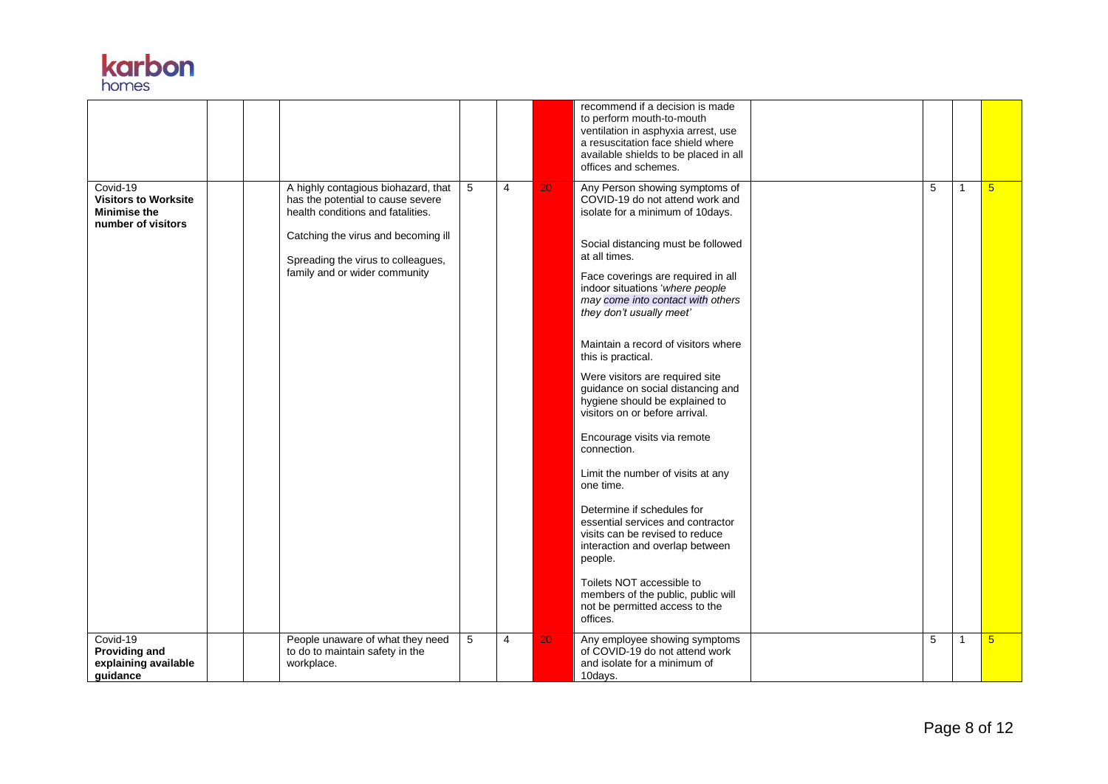

|                                                                                      |  |                                                                                                                                                                                                                             |   |                |    | recommend if a decision is made<br>to perform mouth-to-mouth<br>ventilation in asphyxia arrest, use<br>a resuscitation face shield where<br>available shields to be placed in all<br>offices and schemes.                                                                                                                                                                                                                                                                                                                                                                                                                                                                                                                                                                                                                                                                            |   |              |                 |
|--------------------------------------------------------------------------------------|--|-----------------------------------------------------------------------------------------------------------------------------------------------------------------------------------------------------------------------------|---|----------------|----|--------------------------------------------------------------------------------------------------------------------------------------------------------------------------------------------------------------------------------------------------------------------------------------------------------------------------------------------------------------------------------------------------------------------------------------------------------------------------------------------------------------------------------------------------------------------------------------------------------------------------------------------------------------------------------------------------------------------------------------------------------------------------------------------------------------------------------------------------------------------------------------|---|--------------|-----------------|
| Covid-19<br><b>Visitors to Worksite</b><br><b>Minimise the</b><br>number of visitors |  | A highly contagious biohazard, that<br>has the potential to cause severe<br>health conditions and fatalities.<br>Catching the virus and becoming ill<br>Spreading the virus to colleagues,<br>family and or wider community | 5 | $\overline{4}$ | 20 | Any Person showing symptoms of<br>COVID-19 do not attend work and<br>isolate for a minimum of 10days.<br>Social distancing must be followed<br>at all times.<br>Face coverings are required in all<br>indoor situations 'where people<br>may come into contact with others<br>they don't usually meet'<br>Maintain a record of visitors where<br>this is practical.<br>Were visitors are required site<br>guidance on social distancing and<br>hygiene should be explained to<br>visitors on or before arrival.<br>Encourage visits via remote<br>connection.<br>Limit the number of visits at any<br>one time.<br>Determine if schedules for<br>essential services and contractor<br>visits can be revised to reduce<br>interaction and overlap between<br>people.<br>Toilets NOT accessible to<br>members of the public, public will<br>not be permitted access to the<br>offices. | 5 |              | $5\overline{)}$ |
| Covid-19<br><b>Providing and</b><br>explaining available<br>quidance                 |  | People unaware of what they need<br>to do to maintain safety in the<br>workplace.                                                                                                                                           | 5 | $\overline{4}$ | 20 | Any employee showing symptoms<br>of COVID-19 do not attend work<br>and isolate for a minimum of<br>10days.                                                                                                                                                                                                                                                                                                                                                                                                                                                                                                                                                                                                                                                                                                                                                                           | 5 | $\mathbf{1}$ | $5\overline{)}$ |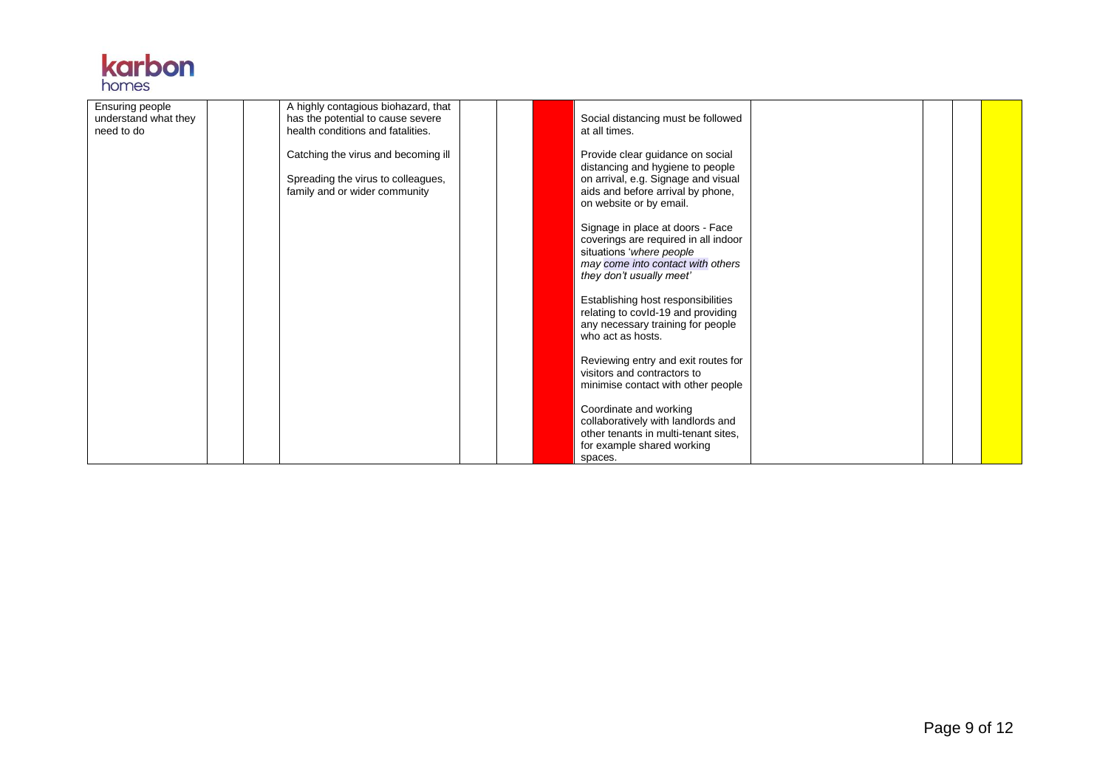|       | <b>Karpon</b> |
|-------|---------------|
| homes |               |

| Ensuring people<br>understand what they<br>need to do |  | A highly contagious biohazard, that<br>has the potential to cause severe<br>health conditions and fatalities. |  | Social distancing must be followed<br>at all times.                                                                                                                         |  |  |
|-------------------------------------------------------|--|---------------------------------------------------------------------------------------------------------------|--|-----------------------------------------------------------------------------------------------------------------------------------------------------------------------------|--|--|
|                                                       |  | Catching the virus and becoming ill<br>Spreading the virus to colleagues,<br>family and or wider community    |  | Provide clear guidance on social<br>distancing and hygiene to people<br>on arrival, e.g. Signage and visual<br>aids and before arrival by phone,<br>on website or by email. |  |  |
|                                                       |  |                                                                                                               |  | Signage in place at doors - Face<br>coverings are required in all indoor<br>situations 'where people<br>may come into contact with others<br>they don't usually meet'       |  |  |
|                                                       |  |                                                                                                               |  | Establishing host responsibilities<br>relating to covId-19 and providing<br>any necessary training for people<br>who act as hosts.                                          |  |  |
|                                                       |  |                                                                                                               |  | Reviewing entry and exit routes for<br>visitors and contractors to<br>minimise contact with other people                                                                    |  |  |
|                                                       |  |                                                                                                               |  | Coordinate and working<br>collaboratively with landlords and<br>other tenants in multi-tenant sites.<br>for example shared working<br>spaces.                               |  |  |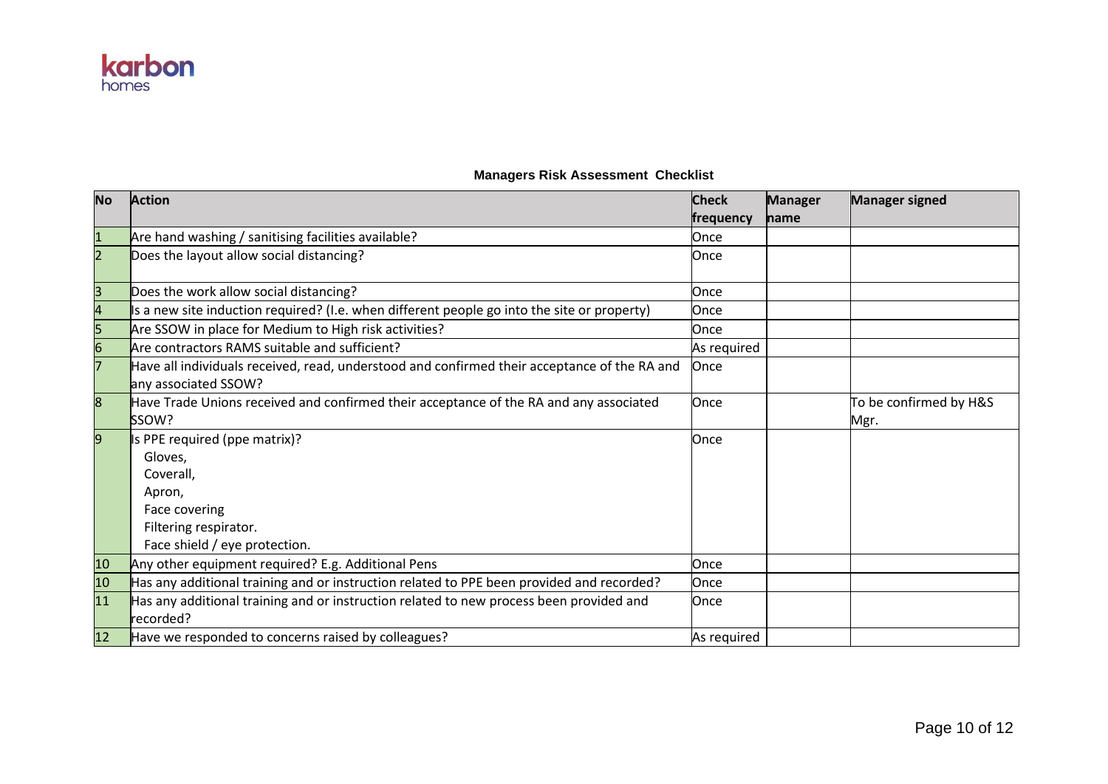

| <b>No</b>               | <b>Action</b>                                                                                                                              | <b>Check</b> | <b>Manager</b> | <b>Manager signed</b>          |
|-------------------------|--------------------------------------------------------------------------------------------------------------------------------------------|--------------|----------------|--------------------------------|
|                         |                                                                                                                                            | frequency    | name           |                                |
| $\overline{\mathbf{1}}$ | Are hand washing / sanitising facilities available?                                                                                        | Once         |                |                                |
| $\overline{2}$          | Does the layout allow social distancing?                                                                                                   | Once         |                |                                |
| $\overline{\mathsf{B}}$ | Does the work allow social distancing?                                                                                                     | Once         |                |                                |
| 4                       | Is a new site induction required? (I.e. when different people go into the site or property)                                                | Once         |                |                                |
|                         | Are SSOW in place for Medium to High risk activities?                                                                                      | Once         |                |                                |
|                         | Are contractors RAMS suitable and sufficient?                                                                                              | As required  |                |                                |
|                         | Have all individuals received, read, understood and confirmed their acceptance of the RA and<br>any associated SSOW?                       | Once         |                |                                |
| 8                       | Have Trade Unions received and confirmed their acceptance of the RA and any associated<br><b>SSOW?</b>                                     | Once         |                | To be confirmed by H&S<br>Mgr. |
| 9                       | Is PPE required (ppe matrix)?<br>Gloves,<br>Coverall,<br>Apron,<br>Face covering<br>Filtering respirator.<br>Face shield / eye protection. | Once         |                |                                |
| 10                      | Any other equipment required? E.g. Additional Pens                                                                                         | Once         |                |                                |
| 10                      | Has any additional training and or instruction related to PPE been provided and recorded?                                                  | Once         |                |                                |
| 11                      | Has any additional training and or instruction related to new process been provided and<br>recorded?                                       | Once         |                |                                |
| 12                      | Have we responded to concerns raised by colleagues?                                                                                        | As required  |                |                                |

## **Managers Risk Assessment Checklist**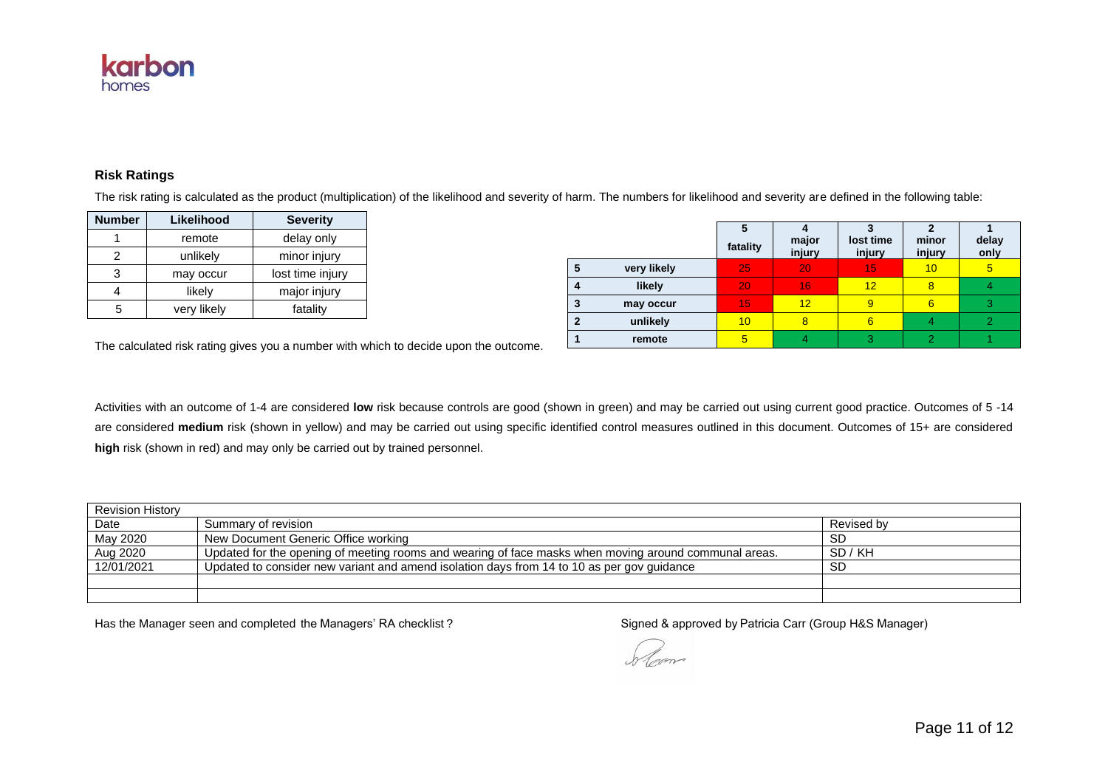

## **Risk Ratings**

The risk rating is calculated as the product (multiplication) of the likelihood and severity of harm. The numbers for likelihood and severity are defined in the following table:

| <b>Number</b> | Likelihood  | <b>Severity</b>  |  |
|---------------|-------------|------------------|--|
|               | remote      | delay only       |  |
| 2             | unlikely    | minor injury     |  |
| 3             | may occur   | lost time injury |  |
|               | likely      | major injury     |  |
| 5             | very likely | fatality         |  |

|             | fatality | major<br>injury | lost time<br>injury | minor<br>injury | delay<br>only |
|-------------|----------|-----------------|---------------------|-----------------|---------------|
| very likely | 25       | 20              | 15                  | 10              | 5             |
| likely      | 20       | 16              | 12 <sub>1</sub>     | 8               |               |
| may occur   | 15       | 12              | 9                   | 6               |               |
| unlikely    | 10       | 8               | 6                   |                 |               |
| remote      |          |                 | 3                   |                 |               |

The calculated risk rating gives you a number with which to decide upon the outcome.

Activities with an outcome of 1-4 are considered **low** risk because controls are good (shown in green) and may be carried out using current good practice. Outcomes of 5 -14 are considered **medium** risk (shown in yellow) and may be carried out using specific identified control measures outlined in this document. Outcomes of 15+ are considered **high** risk (shown in red) and may only be carried out by trained personnel.

| <b>Revision History</b> |                                                                                                       |            |  |  |  |
|-------------------------|-------------------------------------------------------------------------------------------------------|------------|--|--|--|
| Date                    | Summary of revision                                                                                   | Revised by |  |  |  |
| May 2020                | New Document Generic Office working                                                                   | SD         |  |  |  |
| Aug 2020                | Updated for the opening of meeting rooms and wearing of face masks when moving around communal areas. | SD / KH    |  |  |  |
| 12/01/2021              | Updated to consider new variant and amend isolation days from 14 to 10 as per gov guidance            | <b>SD</b>  |  |  |  |
|                         |                                                                                                       |            |  |  |  |
|                         |                                                                                                       |            |  |  |  |

Has the Manager seen and completed the Managers' RA checklist ? 
Signed & approved by Patricia Carr (Group H&S Manager)

h lam